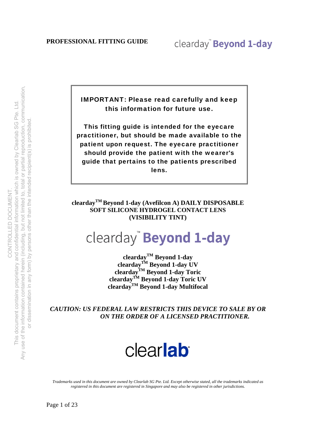IMPORTANT: Please read carefully and keep this information for future use.

This fitting guide is intended for the eyecare practitioner, but should be made available to the patient upon request. The eyecare practitioner should provide the patient with the wearer's guide that pertains to the patients prescribed lens.

**cleardayTM Beyond 1-day (Avefilcon A) DAILY DISPOSABLE SOFT SILICONE HYDROGEL CONTACT LENS (VISIBILITY TINT)**

## clearday" Beyond 1-day

**cleardayTM Beyond 1-day cleardayTM Beyond 1-day UV cleardayTM Beyond 1-day Toric cleardayTM Beyond 1-day Toric UV cleardayTM Beyond 1-day Multifocal** 

*CAUTION: US FEDERAL LAW RESTRICTS THIS DEVICE TO SALE BY OR ON THE ORDER OF A LICENSED PRACTITIONER.* 



*Trademarks used in this document are owned by Clearlab SG Pte. Ltd. Except otherwise stated, all the trademarks indicated as registered in this document are registered in Singapore and may also be registered in other jurisdictions.*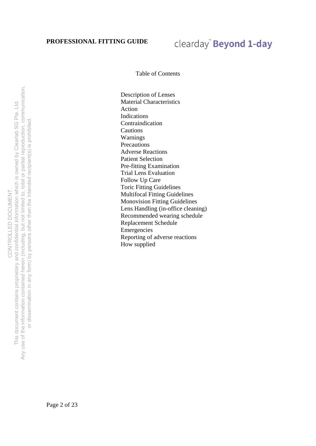### clearday" Beyond 1-day

Table of Contents

Description of Lenses Material Characteristics Action Indications Contraindication Cautions Warnings **Precautions** Adverse Reactions Patient Selection Pre-fitting Examination Trial Lens Evaluation Follow Up Care Toric Fitting Guidelines Multifocal Fitting Guidelines Monovision Fitting Guidelines Lens Handling (in-office cleaning) Recommended wearing schedule Replacement Schedule Emergencies Reporting of adverse reactions How supplied

Any use of the information contained herein (including, but not limited to, total or partial reproduction, communication, Any use of the information contained herein (including, but not limited to, total or partial reproduction, communication, This document contains proprietary and confidential information which is owned by Clearlab SG Pte. Ltd. This document contains proprietary and confidential information which is owned by Clearlab SG Pte. Ltd. or dissemination in any form) by persons other than the intended recipient(s) is prohibited. or dissemination in any form) by persons other than the intended recipient(s) is prohibited CONTROLLED DOCUMENT. CONTROLLED DOCUMENT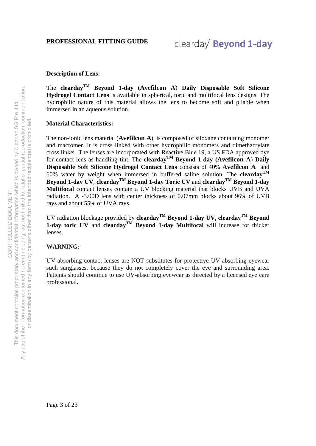#### **Description of Lens:**

The **cleardayTM Beyond 1-day (Avefilcon A**) **Daily Disposable Soft Silicone Hydrogel Contact Lens** is available in spherical, toric and multifocal lens designs. The hydrophilic nature of this material allows the lens to become soft and pliable when immersed in an aqueous solution.

#### **Material Characteristics:**

The non-ionic lens material (**Avefilcon A**), is composed of siloxane containing monomer and macromer. It is cross linked with other hydrophilic monomers and dimethacrylate cross linker. The lenses are incorporated with Reactive Blue 19, a US FDA approved dye for contact lens as handling tint. The **clearday**<sup>TM</sup> Beyond 1-day (Avefilcon A) Daily **Disposable Soft Silicone Hydrogel Contact Lens** consists of 40% **Avefilcon A** and 60% water by weight when immersed in buffered saline solution. The **cleardayTM Beyond 1-day UV**, **cleardayTM Beyond 1-day Toric UV** and **cleardayTM Beyond 1-day Multifocal** contact lenses contain a UV blocking material that blocks UVB and UVA radiation. A -3.00D lens with center thickness of 0.07mm blocks about 96% of UVB rays and about 55% of UVA rays.

UV radiation blockage provided by **cleardayTM Beyond 1-day UV**, **cleardayTM Beyond 1-day toric UV** and **cleardayTM Beyond 1-day Multifocal** will increase for thicker lenses.

#### **WARNING:**

UV-absorbing contact lenses are NOT substitutes for protective UV-absorbing eyewear such sunglasses, because they do not completely cover the eye and surrounding area. Patients should continue to use UV-absorbing eyewear as directed by a licensed eye care professional.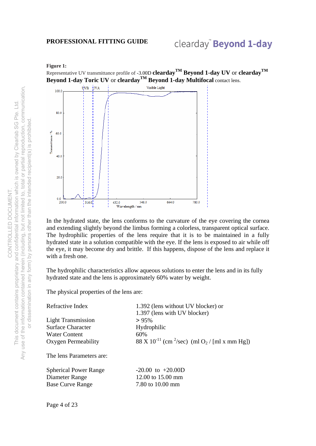### clearday" Beyond 1-day

#### **Figure 1:**

Representative UV transmittance profile of -3.00D **cleardayTM Beyond 1-day UV** or **cleardayTM Beyond 1-day Toric UV** or **cleardayTM Beyond 1-day Multifocal** contact lens.



In the hydrated state, the lens conforms to the curvature of the eye covering the cornea and extending slightly beyond the limbus forming a colorless, transparent optical surface. The hydrophilic properties of the lens require that it is to be maintained in a fully hydrated state in a solution compatible with the eye. If the lens is exposed to air while off the eye, it may become dry and brittle. If this happens, dispose of the lens and replace it with a fresh one.

The hydrophilic characteristics allow aqueous solutions to enter the lens and in its fully hydrated state and the lens is approximately 60% water by weight.

The physical properties of the lens are:

| Refractive Index             | 1.392 (lens without UV blocker) or<br>1.397 (lens with UV blocker)               |
|------------------------------|----------------------------------------------------------------------------------|
| <b>Light Transmission</b>    | $> 95\%$                                                                         |
| <b>Surface Character</b>     | Hydrophilic                                                                      |
| Water Content                | 60%                                                                              |
| Oxygen Permeability          | 88 X 10 <sup>-11</sup> (cm <sup>2</sup> /sec) (ml O <sub>2</sub> / [ml x mm Hg]) |
| The lens Parameters are:     |                                                                                  |
| <b>Spherical Power Range</b> | $-20.00$ to $+20.00$ D                                                           |
| Diameter Range               | 12.00 to 15.00 mm                                                                |
| <b>Base Curve Range</b>      | 7.80 to 10.00 mm                                                                 |
|                              |                                                                                  |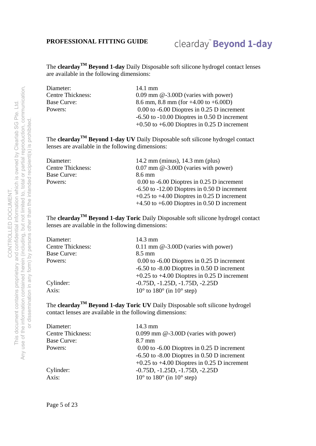### clearday" Beyond 1-day

The **cleardayTM Beyond 1-day** Daily Disposable soft silicone hydrogel contact lenses are available in the following dimensions:

| Diameter:                | 14.1 mm                                          |
|--------------------------|--------------------------------------------------|
| <b>Centre Thickness:</b> | $0.09$ mm $\omega$ -3.00D (varies with power)    |
| Base Curve:              | 8.6 mm, 8.8 mm (for $+4.00$ to $+6.00$ D)        |
| Powers:                  | $0.00$ to $-6.00$ Dioptres in 0.25 D increment   |
|                          | $-6.50$ to $-10.00$ Dioptres in 0.50 D increment |
|                          | $+0.50$ to $+6.00$ Dioptres in 0.25 D increment  |

The **cleardayTM Beyond 1-day UV** Daily Disposable soft silicone hydrogel contact lenses are available in the following dimensions:

| Diameter:                | 14.2 mm (minus), $14.3$ mm (plus)                |
|--------------------------|--------------------------------------------------|
| <b>Centre Thickness:</b> | $0.07$ mm $@-3.00D$ (varies with power)          |
| Base Curve:              | 8.6 mm                                           |
| Powers:                  | $0.00$ to $-6.00$ Dioptres in 0.25 D increment   |
|                          | $-6.50$ to $-12.00$ Dioptres in 0.50 D increment |
|                          | $+0.25$ to $+4.00$ Dioptres in 0.25 D increment  |
|                          | $+4.50$ to $+6.00$ Dioptres in 0.50 D increment  |

The **cleardayTM Beyond 1-day Toric** Daily Disposable soft silicone hydrogel contact lenses are available in the following dimensions:

| Diameter:                | 14.3 mm                                              |  |  |  |
|--------------------------|------------------------------------------------------|--|--|--|
| <b>Centre Thickness:</b> | $0.11$ mm $@-3.00D$ (varies with power)              |  |  |  |
| <b>Base Curve:</b>       | $8.5 \text{ mm}$                                     |  |  |  |
| Powers:                  | $0.00$ to $-6.00$ Dioptres in 0.25 D increment       |  |  |  |
|                          | $-6.50$ to $-8.00$ Dioptres in 0.50 D increment      |  |  |  |
|                          | $+0.25$ to $+4.00$ Dioptres in 0.25 D increment      |  |  |  |
| Cylinder:                | $-0.75D, -1.25D, -1.75D, -2.25D$                     |  |  |  |
| Axis:                    | $10^{\circ}$ to $180^{\circ}$ (in $10^{\circ}$ step) |  |  |  |

The **cleardayTM Beyond 1-day Toric UV** Daily Disposable soft silicone hydrogel contact lenses are available in the following dimensions:

| $14.3 \text{ mm}$                                    |
|------------------------------------------------------|
| $0.099$ mm $@-3.00D$ (varies with power)             |
| 8.7 mm                                               |
| $0.00$ to $-6.00$ Dioptres in 0.25 D increment       |
| $-6.50$ to $-8.00$ Dioptres in 0.50 D increment      |
| $+0.25$ to $+4.00$ Dioptres in 0.25 D increment      |
| $-0.75D, -1.25D, -1.75D, -2.25D$                     |
| $10^{\circ}$ to $180^{\circ}$ (in $10^{\circ}$ step) |
|                                                      |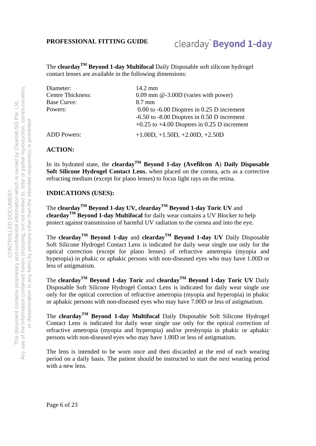### clearday<sup>"</sup> Beyond 1-day

The **cleardayTM Beyond 1-day Multifocal** Daily Disposable soft silicone hydrogel contact lenses are available in the following dimensions:

| Diameter:                | $14.2 \text{ mm}$                               |
|--------------------------|-------------------------------------------------|
| <b>Centre Thickness:</b> | $0.09$ mm $@-3.00D$ (varies with power)         |
| <b>Base Curve:</b>       | $8.7 \text{ mm}$                                |
| Powers:                  | $0.00$ to $-6.00$ Dioptres in 0.25 D increment  |
|                          | $-6.50$ to $-8.00$ Dioptres in 0.50 D increment |
|                          | $+0.25$ to $+4.00$ Dioptres in 0.25 D increment |
| <b>ADD</b> Powers:       | $+1.00D, +1.50D, +2.00D, +2.50D$                |

#### **ACTION:**

In its hydrated state, the **cleardayTM Beyond 1-day (Avefilcon A**) **Daily Disposable Soft Silicone Hydrogel Contact Lens**, when placed on the cornea, acts as a corrective refracting medium (except for plano lenses) to focus light rays on the retina.

#### **INDICATIONS (USES):**

The **clearday**<sup>TM</sup> Beyond 1-day UV, **clearday**<sup>TM</sup> Beyond 1-day Toric UV and **cleardayTM Beyond 1-day Multifocal** for daily wear contains a UV Blocker to help protect against transmission of harmful UV radiation to the cornea and into the eye.

The **cleardayTM Beyond 1-day** and **cleardayTM Beyond 1-day UV** Daily Disposable Soft Silicone Hydrogel Contact Lens is indicated for daily wear single use only for the optical correction (except for plano lenses) of refractive ametropia (myopia and hyperopia) in phakic or aphakic persons with non-diseased eyes who may have 1.00D or less of astigmatism.

The **cleardayTM Beyond 1-day Toric** and **cleardayTM Beyond 1-day Toric UV** Daily Disposable Soft Silicone Hydrogel Contact Lens is indicated for daily wear single use only for the optical correction of refractive ametropia (myopia and hyperopia) in phakic or aphakic persons with non-diseased eyes who may have 7.00D or less of astigmatism.

The **cleardayTM Beyond 1-day Multifocal** Daily Disposable Soft Silicone Hydrogel Contact Lens is indicated for daily wear single use only for the optical correction of refractive ametropia (myopia and hyperopia) and/or presbyopia in phakic or aphakic persons with non-diseased eyes who may have 1.00D or less of astigmatism.

The lens is intended to be worn once and then discarded at the end of each wearing period on a daily basis. The patient should be instructed to start the next wearing period with a new lens.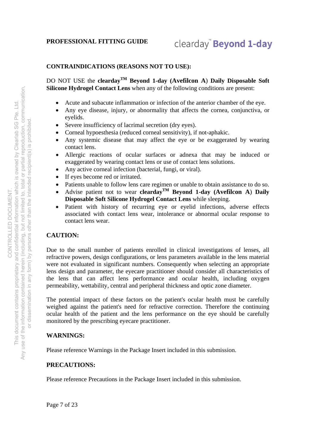#### **CONTRAINDICATIONS (REASONS NOT TO USE):**

DO NOT USE the **cleardayTM Beyond 1-day (Avefilcon A**) **Daily Disposable Soft Silicone Hydrogel Contact Lens** when any of the following conditions are present:

- Acute and subacute inflammation or infection of the anterior chamber of the eye.
- Any eye disease, injury, or abnormality that affects the cornea, conjunctiva, or eyelids.
- Severe insufficiency of lacrimal secretion (dry eyes).
- Corneal hypoesthesia (reduced corneal sensitivity), if not-aphakic.
- Any systemic disease that may affect the eye or be exaggerated by wearing contact lens.
- Allergic reactions of ocular surfaces or adnexa that may be induced or exaggerated by wearing contact lens or use of contact lens solutions.
- Any active corneal infection (bacterial, fungi, or viral).
- If eyes become red or irritated.
- Patients unable to follow lens care regimen or unable to obtain assistance to do so.
- Advise patient not to wear **cleardayTM Beyond 1-day (Avefilcon A**) **Daily Disposable Soft Silicone Hydrogel Contact Lens** while sleeping.
- Patient with history of recurring eye or eyelid infections, adverse effects associated with contact lens wear, intolerance or abnormal ocular response to contact lens wear.

#### **CAUTION:**

Due to the small number of patients enrolled in clinical investigations of lenses, all refractive powers, design configurations, or lens parameters available in the lens material were not evaluated in significant numbers. Consequently when selecting an appropriate lens design and parameter, the eyecare practitioner should consider all characteristics of the lens that can affect lens performance and ocular health, including oxygen permeability, wettability, central and peripheral thickness and optic zone diameter.

The potential impact of these factors on the patient's ocular health must be carefully weighed against the patient's need for refractive correction. Therefore the continuing ocular health of the patient and the lens performance on the eye should be carefully monitored by the prescribing eyecare practitioner.

#### **WARNINGS:**

Please reference Warnings in the Package Insert included in this submission.

#### **PRECAUTIONS:**

Please reference Precautions in the Package Insert included in this submission.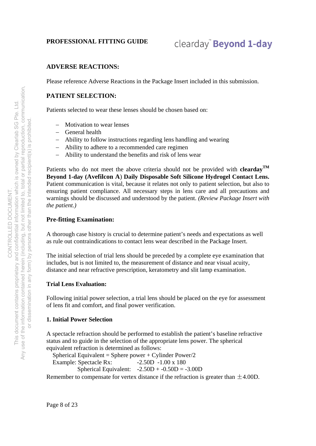### clearday<sup>"</sup> Beyond 1-day

#### **ADVERSE REACTIONS:**

Please reference Adverse Reactions in the Package Insert included in this submission.

#### **PATIENT SELECTION:**

Patients selected to wear these lenses should be chosen based on:

- Motivation to wear lenses
- General health
- Ability to follow instructions regarding lens handling and wearing
- Ability to adhere to a recommended care regimen
- Ability to understand the benefits and risk of lens wear

Patients who do not meet the above criteria should not be provided with **cleardayTM Beyond 1-day (Avefilcon A**) **Daily Disposable Soft Silicone Hydrogel Contact Lens.** Patient communication is vital, because it relates not only to patient selection, but also to ensuring patient compliance. All necessary steps in lens care and all precautions and warnings should be discussed and understood by the patient. *(Review Package Insert with the patient.)*

#### **Pre-fitting Examination:**

A thorough case history is crucial to determine patient's needs and expectations as well as rule out contraindications to contact lens wear described in the Package Insert.

The initial selection of trial lens should be preceded by a complete eye examination that includes, but is not limited to, the measurement of distance and near visual acuity, distance and near refractive prescription, keratometry and slit lamp examination.

#### **Trial Lens Evaluation:**

Following initial power selection, a trial lens should be placed on the eye for assessment of lens fit and comfort, and final power verification.

#### **1. Initial Power Selection**

A spectacle refraction should be performed to establish the patient's baseline refractive status and to guide in the selection of the appropriate lens power. The spherical equivalent refraction is determined as follows:

Spherical Equivalent = Sphere power + Cylinder Power/2

Example: Spectacle Rx:  $-2.50D -1.00 \times 180$ 

Spherical Equivalent:  $-2.50D + -0.50D = -3.00D$ 

Remember to compensate for vertex distance if the refraction is greater than  $\pm 4.00D$ .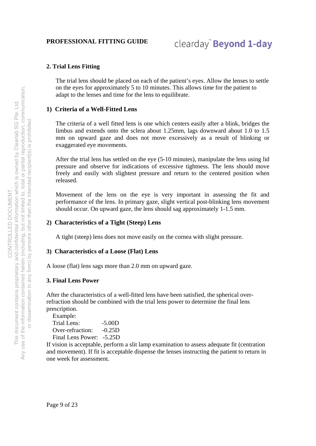### clearday<sup>"</sup> Beyond 1-day

#### **2. Trial Lens Fitting**

The trial lens should be placed on each of the patient's eyes. Allow the lenses to settle on the eyes for approximately 5 to 10 minutes. This allows time for the patient to adapt to the lenses and time for the lens to equilibrate.

#### **1) Criteria of a Well-Fitted Lens**

The criteria of a well fitted lens is one which centers easily after a blink, bridges the limbus and extends onto the sclera about 1.25mm, lags downward about 1.0 to 1.5 mm on upward gaze and does not move excessively as a result of blinking or exaggerated eye movements.

After the trial lens has settled on the eye (5-10 minutes), manipulate the lens using lid pressure and observe for indications of excessive tightness. The lens should move freely and easily with slightest pressure and return to the centered position when released.

Movement of the lens on the eye is very important in assessing the fit and performance of the lens. In primary gaze, slight vertical post-blinking lens movement should occur. On upward gaze, the lens should sag approximately 1-1.5 mm.

#### **2) Characteristics of a Tight (Steep) Lens**

A tight (steep) lens does not move easily on the cornea with slight pressure.

#### **3) Characteristics of a Loose (Flat) Lens**

A loose (flat) lens sags more than 2.0 mm on upward gaze.

#### **3. Final Lens Power**

After the characteristics of a well-fitted lens have been satisfied, the spherical overrefraction should be combined with the trial lens power to determine the final lens prescription.

Example: Trial Lens: -5.00D Over-refraction: -0.25D Final Lens Power: -5.25D

If vision is acceptable, perform a slit lamp examination to assess adequate fit (centration and movement). If fit is acceptable dispense the lenses instructing the patient to return in one week for assessment.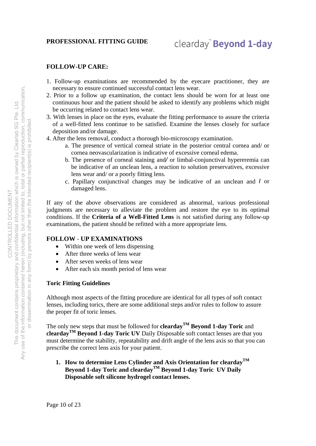#### **FOLLOW-UP CARE:**

- 1. Follow-up examinations are recommended by the eyecare practitioner, they are necessary to ensure continued successful contact lens wear.
- 2. Prior to a follow up examination, the contact lens should be worn for at least one continuous hour and the patient should be asked to identify any problems which might be occurring related to contact lens wear.
- 3. With lenses in place on the eyes, evaluate the fitting performance to assure the criteria of a well-fitted lens continue to be satisfied. Examine the lenses closely for surface deposition and/or damage.
- 4. After the lens removal, conduct a thorough bio-microscopy examination.
	- a. The presence of vertical corneal striate in the posterior central cornea and/ or cornea neovascularization is indicative of excessive corneal edema.
	- b. The presence of corneal staining and*/* or limbal-conjunctival hypereremia can be indicative of an unclean lens, a reaction to solution preservatives, excessive lens wear and/ or a poorly fitting lens.
	- c. Papillary conjunctival changes may be indicative of an unclean and *I* or damaged lens.

If any of the above observations are considered as abnormal, various professional judgments are necessary to alleviate the problem and restore the eye to its optimal conditions. If the **Criteria of a Well-Fitted Lens** is not satisfied during any follow-up examinations, the patient should be refitted with a more appropriate lens.

#### **FOLLOW** - **UP EXAMINATIONS**

- Within one week of lens dispensing
- After three weeks of lens wear
- After seven weeks of lens wear
- After each six month period of lens wear

#### **Toric Fitting Guidelines**

Although most aspects of the fitting procedure are identical for all types of soft contact lenses, including torics, there are some additional steps and/or rules to follow to assure the proper fit of toric lenses.

The only new steps that must be followed for **clearday**<sup>TM</sup> Beyond 1-day Toric and **cleardayTM Beyond 1-day Toric UV** Daily Disposable soft contact lenses are that you must determine the stability, repeatability and drift angle of the lens axis so that you can prescribe the correct lens axis for your patient.

**1. How to determine Lens Cylinder and Axis Orientation for cleardayTM Beyond 1-day Toric and cleardayTM Beyond 1-day Toric UV Daily Disposable soft silicone hydrogel contact lenses.** 

Page 10 of 23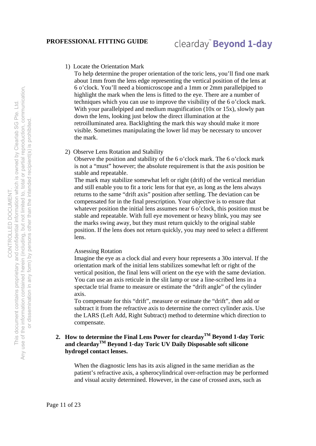#### 1) Locate the Orientation Mark

To help determine the proper orientation of the toric lens, you'll find one mark about 1mm from the lens edge representing the vertical position of the lens at 6 o'clock. You'll need a biomicroscope and a 1mm or 2mm parallelpiped to highlight the mark when the lens is fitted to the eye. There are a number of techniques which you can use to improve the visibility of the 6 o'clock mark. With your parallelpiped and medium magnification (10x or 15x), slowly pan down the lens, looking just below the direct illumination at the retroilluminated area. Backlighting the mark this way should make it more visible. Sometimes manipulating the lower lid may be necessary to uncover the mark.

2) Observe Lens Rotation and Stability

Observe the position and stability of the 6 o'clock mark. The 6 o'clock mark is not a "must" however; the absolute requirement is that the axis position be stable and repeatable.

The mark may stabilize somewhat left or right (drift) of the vertical meridian and still enable you to fit a toric lens for that eye, as long as the lens always returns to the same "drift axis" position after settling. The deviation can be compensated for in the final prescription. Your objective is to ensure that whatever position the initial lens assumes near 6 o'clock, this position must be stable and repeatable. With full eye movement or heavy blink, you may see the marks swing away, but they must return quickly to the original stable position. If the lens does not return quickly, you may need to select a different lens.

#### Assessing Rotation

Imagine the eye as a clock dial and every hour represents a 30o interval. If the orientation mark of the initial lens stabilizes somewhat left or right of the vertical position, the final lens will orient on the eye with the same deviation. You can use an axis reticule in the slit lamp or use a line-scribed lens in a spectacle trial frame to measure or estimate the "drift angle" of the cylinder axis.

To compensate for this "drift", measure or estimate the "drift", then add or subtract it from the refractive axis to determine the correct cylinder axis. Use the LARS (Left Add, Right Subtract) method to determine which direction to compensate.

#### **2.** How to determine the Final Lens Power for clearday<sup>TM</sup> Beyond 1-day Toric **and cleardayTM Beyond 1-day Toric UV Daily Disposable soft silicone hydrogel contact lenses.**

When the diagnostic lens has its axis aligned in the same meridian as the patient's refractive axis, a spherocylindrical over-refraction may be performed and visual acuity determined. However, in the case of crossed axes, such as

or dissemination in any form) by persons other than the intended recipient(s) is prohibited.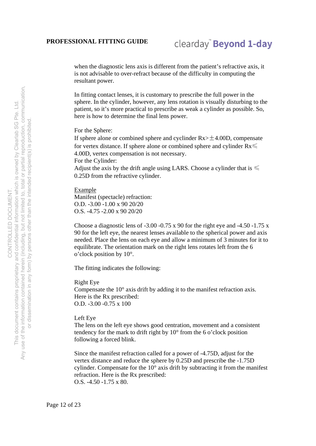when the diagnostic lens axis is different from the patient's refractive axis, it is not advisable to over-refract because of the difficulty in computing the resultant power.

In fitting contact lenses, it is customary to prescribe the full power in the sphere. In the cylinder, however, any lens rotation is visually disturbing to the patient, so it's more practical to prescribe as weak a cylinder as possible. So, here is how to determine the final lens power.

For the Sphere:

If sphere alone or combined sphere and cyclinder  $Rx > \pm 4.00D$ , compensate for vertex distance. If sphere alone or combined sphere and cylinder  $Rx \leq$ 4.00D, vertex compensation is not necessary. For the Cylinder: Adjust the axis by the drift angle using LARS. Choose a cylinder that is  $\leq$ 

0.25D from the refractive cylinder.

Example

Manifest (spectacle) refraction: O.D. -3.00 -1.00 x 90 20/20 O.S. -4.75 -2.00 x 90 20/20

Choose a diagnostic lens of  $-3.00 - 0.75$  x 90 for the right eye and  $-4.50 - 1.75$  x 90 for the left eye, the nearest lenses available to the spherical power and axis needed. Place the lens on each eye and allow a minimum of 3 minutes for it to equilibrate. The orientation mark on the right lens rotates left from the 6 o'clock position by 10°.

The fitting indicates the following:

Right Eye

Compensate the 10° axis drift by adding it to the manifest refraction axis. Here is the Rx prescribed: O.D. -3.00 -0.75 x 100

Left Eye

The lens on the left eye shows good centration, movement and a consistent tendency for the mark to drift right by 10° from the 6 o'clock position following a forced blink.

Since the manifest refraction called for a power of -4.75D, adjust for the vertex distance and reduce the sphere by 0.25D and prescribe the -1.75D cylinder. Compensate for the 10° axis drift by subtracting it from the manifest refraction. Here is the Rx prescribed: O.S. -4.50 -1.75 x 80.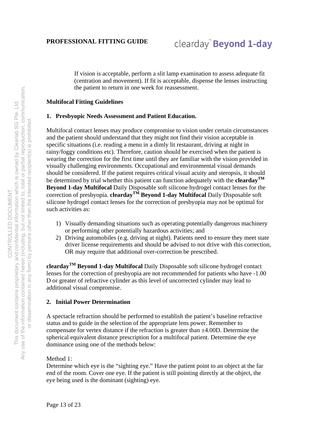If vision is acceptable, perform a slit lamp examination to assess adequate fit (centration and movement). If fit is acceptable, dispense the lenses instructing the patient to return in one week for reassessment.

#### **Multifocal Fitting Guidelines**

#### **1. Presbyopic Needs Assessment and Patient Education.**

Multifocal contact lenses may produce compromise to vision under certain circumstances and the patient should understand that they might not find their vision acceptable in specific situations (i.e. reading a menu in a dimly lit restaurant, driving at night in rainy/foggy conditions etc). Therefore, caution should be exercised when the patient is wearing the correction for the first time until they are familiar with the vision provided in visually challenging environments. Occupational and environmental visual demands should be considered. If the patient requires critical visual acuity and steropsis, it should be determined by trial whether this patient can function adequately with the **cleardayTM Beyond 1-day Multifocal** Daily Disposable soft silicone hydrogel contact lenses for the correction of presbyopia. **cleardayTM Beyond 1-day Multifocal** Daily Disposable soft silicone hydrogel contact lenses for the correction of presbyopia may not be optimal for such activities as:

- 1) Visually demanding situations such as operating potentially dangerous machinery or performing other potentially hazardous activities; and
- 2) Driving automobiles (e.g. driving at night). Patients need to ensure they meet state driver license requirements and should be advised to not drive with this correction, OR may require that additional over-correction be prescribed.

**cleardayTM Beyond 1-day Multifocal** Daily Disposable soft silicone hydrogel contact lenses for the correction of presbyopia are not recommended for patients who have -1.00 D or greater of refractive cylinder as this level of uncorrected cylinder may lead to additional visual compromise.

#### **2. Initial Power Determination**

A spectacle refraction should be performed to establish the patient's baseline refractive status and to guide in the selection of the appropriate lens power. Remember to compensate for vertex distance if the refraction is greater than ±4.00D. Determine the spherical equivalent distance prescription for a multifocal patient. Determine the eye dominance using one of the methods below:

#### Method 1<sup>.</sup>

Determine which eye is the "sighting eye." Have the patient point to an object at the far end of the room. Cover one eye. If the patient is still pointing directly at the object, the eye being used is the dominant (sighting) eye.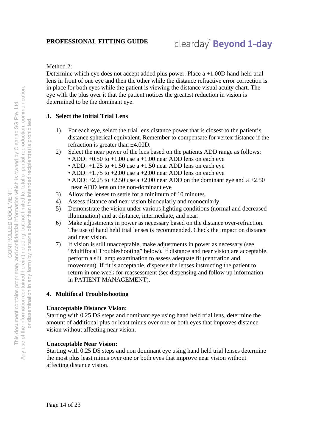#### Method 2:

Determine which eye does not accept added plus power. Place a +1.00D hand-held trial lens in front of one eye and then the other while the distance refractive error correction is in place for both eyes while the patient is viewing the distance visual acuity chart. The eye with the plus over it that the patient notices the greatest reduction in vision is determined to be the dominant eye.

#### **3. Select the Initial Trial Lens**

- 1) For each eye, select the trial lens distance power that is closest to the patient's distance spherical equivalent. Remember to compensate for vertex distance if the refraction is greater than ±4.00D.
- 2) Select the near power of the lens based on the patients ADD range as follows:
	- ADD:  $+0.50$  to  $+1.00$  use a  $+1.00$  near ADD lens on each eye
	- ADD:  $+1.25$  to  $+1.50$  use a  $+1.50$  near ADD lens on each eye
	- ADD:  $+1.75$  to  $+2.00$  use a  $+2.00$  near ADD lens on each eye
	- ADD:  $+2.25$  to  $+2.50$  use a  $+2.00$  near ADD on the dominant eye and a  $+2.50$ near ADD lens on the non-dominant eye
- 3) Allow the lenses to settle for a minimum of 10 minutes.
- 4) Assess distance and near vision binocularly and monocularly.
- 5) Demonstrate the vision under various lighting conditions (normal and decreased illumination) and at distance, intermediate, and near.
- 6) Make adjustments in power as necessary based on the distance over-refraction. The use of hand held trial lenses is recommended. Check the impact on distance and near vision.
- 7) If vision is still unacceptable, make adjustments in power as necessary (see "Multifocal Troubleshooting" below). If distance and near vision are acceptable, perform a slit lamp examination to assess adequate fit (centration and movement). If fit is acceptable, dispense the lenses instructing the patient to return in one week for reassessment (see dispensing and follow up information in PATIENT MANAGEMENT).

#### **4. Multifocal Troubleshooting**

#### **Unacceptable Distance Vision:**

Starting with 0.25 DS steps and dominant eye using hand held trial lens, determine the amount of additional plus or least minus over one or both eyes that improves distance vision without affecting near vision.

#### **Unacceptable Near Vision:**

Starting with 0.25 DS steps and non dominant eye using hand held trial lenses determine the most plus least minus over one or both eyes that improve near vision without affecting distance vision.

Page 14 of 23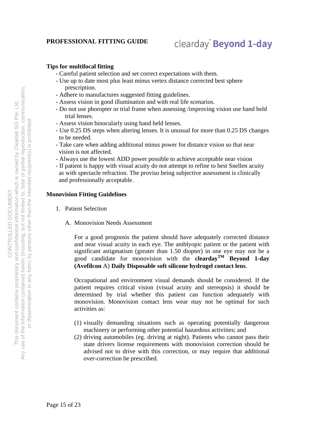#### **Tips for multifocal fitting**

- Careful patient selection and set correct expectations with them.
- Use up to date most plus least minus vertex distance corrected best sphere prescription.
- Adhere to manufactures suggested fitting guidelines.
- Assess vision in good illumination and with real life scenarios.
- Do not use phoropter or trial frame when assessing /improving vision use hand held trial lenses.
- Assess vision binocularly using hand held lenses.
- Use 0.25 DS steps when altering lenses. It is unusual for more than 0.25 DS changes to be needed.
- Take care when adding additional minus power for distance vision so that near vision is not affected.
- Always use the lowest ADD power possible to achieve acceptable near vision
- If patient is happy with visual acuity do not attempt to refine to best Snellen acuity as with spectacle refraction. The proviso being subjective assessment is clinically and professionally acceptable.

#### **Monovision Fitting Guidelines**

- 1. Patient Selection
	- A. Monovision Needs Assessment

For a good prognosis the patient should have adequately corrected distance and near visual acuity in each eye. The amblyopic patient or the patient with significant astigmatism (greater than 1.50 diopter) in one eye may not be a good candidate for monovision with the **cleardayTM Beyond 1-day (Avefilcon** A) **Daily Disposable soft silicone hydrogel contact lens**.

Occupational and environment visual demands should be considered. If the patient requires critical vision (visual acuity and stereopsis) it should be determined by trial whether this patient can function adequately with monovision. Monovision contact lens wear may not be optimal for such activities as:

- (1) visually demanding situations such as operating potentially dangerous machinery or performing other potential hazardous activities; and
- (2) driving automobiles (eg. driving at night). Patients who cannot pass their state drivers license requirements with monovision correction should be advised not to drive with this correction, or may require that additional over-correction be prescribed.

Page 15 of 23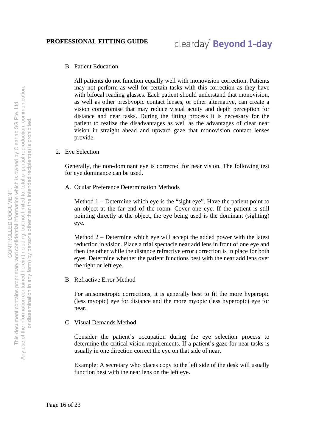#### B. Patient Education

All patients do not function equally well with monovision correction. Patients may not perform as well for certain tasks with this correction as they have with bifocal reading glasses. Each patient should understand that monovision, as well as other presbyopic contact lenses, or other alternative, can create a vision compromise that may reduce visual acuity and depth perception for distance and near tasks. During the fitting process it is necessary for the patient to realize the disadvantages as well as the advantages of clear near vision in straight ahead and upward gaze that monovision contact lenses provide.

2. Eye Selection

Generally, the non-dominant eye is corrected for near vision. The following test for eye dominance can be used.

A. Ocular Preference Determination Methods

Method 1 – Determine which eye is the "sight eye". Have the patient point to an object at the far end of the room. Cover one eye. If the patient is still pointing directly at the object, the eye being used is the dominant (sighting) eye.

Method 2 – Determine which eye will accept the added power with the latest reduction in vision. Place a trial spectacle near add lens in front of one eye and then the other while the distance refractive error correction is in place for both eyes. Determine whether the patient functions best with the near add lens over the right or left eye.

B. Refractive Error Method

For anisometropic corrections, it is generally best to fit the more hyperopic (less myopic) eye for distance and the more myopic (less hyperopic) eye for near.

C. Visual Demands Method

Consider the patient's occupation during the eye selection process to determine the critical vision requirements. If a patient's gaze for near tasks is usually in one direction correct the eye on that side of near.

Example: A secretary who places copy to the left side of the desk will usually function best with the near lens on the left eye.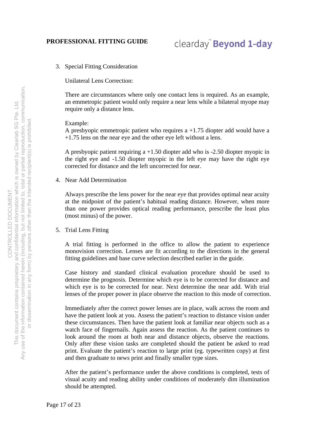3. Special Fitting Consideration

Unilateral Lens Correction:

 There are circumstances where only one contact lens is required. As an example, an emmetropic patient would only require a near lens while a bilateral myope may require only a distance lens.

Example:

A presbyopic emmetropic patient who requires a +1.75 diopter add would have a +1.75 lens on the near eye and the other eye left without a lens.

A presbyopic patient requiring a +1.50 diopter add who is -2.50 diopter myopic in the right eye and -1.50 diopter myopic in the left eye may have the right eye corrected for distance and the left uncorrected for near.

4. Near Add Determination

 Always prescribe the lens power for the near eye that provides optimal near acuity at the midpoint of the patient's habitual reading distance. However, when more than one power provides optical reading performance, prescribe the least plus (most minus) of the power.

5. Trial Lens Fitting

 A trial fitting is performed in the office to allow the patient to experience monovision correction. Lenses are fit according to the directions in the general fitting guidelines and base curve selection described earlier in the guide.

 Case history and standard clinical evaluation procedure should be used to determine the prognosis. Determine which eye is to be corrected for distance and which eye is to be corrected for near. Next determine the near add. With trial lenses of the proper power in place observe the reaction to this mode of correction.

 Immediately after the correct power lenses are in place, walk across the room and have the patient look at you. Assess the patient's reaction to distance vision under these circumstances. Then have the patient look at familiar near objects such as a watch face of fingernails. Again assess the reaction. As the patient continues to look around the room at both near and distance objects, observe the reactions. Only after these vision tasks are completed should the patient be asked to read print. Evaluate the patient's reaction to large print (eg. typewritten copy) at first and then graduate to news print and finally smaller type sizes.

 After the patient's performance under the above conditions is completed, tests of visual acuity and reading ability under conditions of moderately dim illumination should be attempted.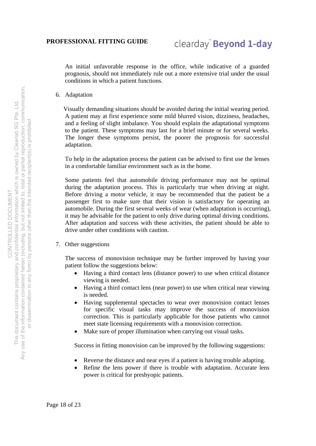An initial unfavorable response in the office, while indicative of a guarded prognosis, should not immediately rule out a more extensive trial under the usual conditions in which a patient functions.

6. Adaptation

 Visually demanding situations should be avoided during the initial wearing period. A patient may at first experience some mild blurred vision, dizziness, headaches, and a feeling of slight imbalance. You should explain the adaptational symptoms to the patient. These symptoms may last for a brief minute or for several weeks. The longer these symptoms persist, the poorer the prognosis for successful adaptation.

To help in the adaptation process the patient can be advised to first use the lenses in a comfortable familiar environment such as in the home.

Some patients feel that automobile driving performance may not be optimal during the adaptation process. This is particularly true when driving at night. Before driving a motor vehicle, it may be recommended that the patient be a passenger first to make sure that their vision is satisfactory for operating an automobile. During the first several weeks of wear (when adaptation is occurring), it may be advisable for the patient to only drive during optimal driving conditions. After adaptation and success with these activities, the patient should be able to drive under other conditions with caution.

7. Other suggestions

The success of monovision technique may be further improved by having your patient follow the suggestions below:

- Having a third contact lens (distance power) to use when critical distance viewing is needed.
- Having a third contact lens (near power) to use when critical near viewing is needed.
- Having supplemental spectacles to wear over monovision contact lenses for specific visual tasks may improve the success of monovision correction. This is particularly applicable for those patients who cannot meet state licensing requirements with a monovision correction.
- Make sure of proper illumination when carrying out visual tasks.

Success in fitting monovision can be improved by the following suggestions:

- Reverse the distance and near eyes if a patient is having trouble adapting.
- Refine the lens power if there is trouble with adaptation. Accurate lens power is critical for presbyopic patients.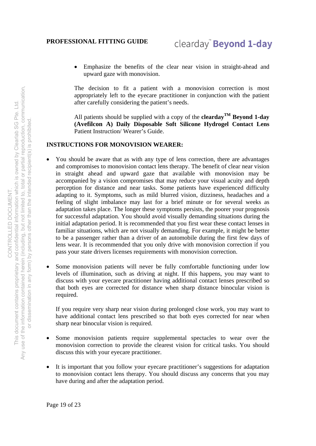Emphasize the benefits of the clear near vision in straight-ahead and upward gaze with monovision.

The decision to fit a patient with a monovision correction is most appropriately left to the eyecare practitioner in conjunction with the patient after carefully considering the patient's needs.

All patients should be supplied with a copy of the **clearday**<sup>TM</sup> Beyond 1-day **(Avefilcon A) Daily Disposable Soft Silicone Hydrogel Contact Lens**  Patient Instruction/ Wearer's Guide.

#### **INSTRUCTIONS FOR MONOVISION WEARER:**

- You should be aware that as with any type of lens correction, there are advantages and compromises to monovision contact lens therapy. The benefit of clear near vision in straight ahead and upward gaze that available with monovision may be accompanied by a vision compromises that may reduce your visual acuity and depth perception for distance and near tasks. Some patients have experienced difficulty adapting to it. Symptoms, such as mild blurred vision, dizziness, headaches and a feeling of slight imbalance may last for a brief minute or for several weeks as adaptation takes place. The longer these symptoms persists, the poorer your prognosis for successful adaptation. You should avoid visually demanding situations during the initial adaptation period. It is recommended that you first wear these contact lenses in familiar situations, which are not visually demanding. For example, it might be better to be a passenger rather than a driver of an automobile during the first few days of lens wear. It is recommended that you only drive with monovision correction if you pass your state drivers licenses requirements with monovision correction.
- Some monovision patients will never be fully comfortable functioning under low levels of illumination, such as driving at night. If this happens, you may want to discuss with your eyecare practitioner having additional contact lenses prescribed so that both eyes are corrected for distance when sharp distance binocular vision is required.

If you require very sharp near vision during prolonged close work, you may want to have additional contact lens prescribed so that both eyes corrected for near when sharp near binocular vision is required.

- Some monovision patients require supplemental spectacles to wear over the monovision correction to provide the clearest vision for critical tasks. You should discuss this with your eyecare practitioner.
- It is important that you follow your eyecare practitioner's suggestions for adaptation to monovision contact lens therapy. You should discuss any concerns that you may have during and after the adaptation period.

Page 19 of 23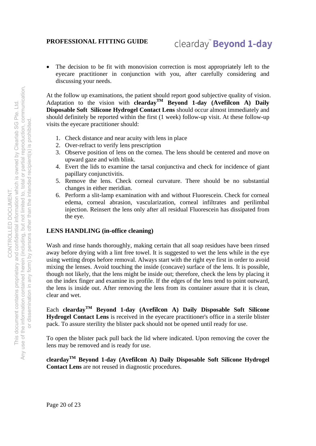The decision to be fit with monovision correction is most appropriately left to the eyecare practitioner in conjunction with you, after carefully considering and discussing your needs.

At the follow up examinations, the patient should report good subjective quality of vision. Adaptation to the vision with **cleardayTM Beyond 1-day (Avefilcon A) Daily Disposable Soft Silicone Hydrogel Contact Lens** should occur almost immediately and should definitely be reported within the first (1 week) follow-up visit. At these follow-up visits the eyecare practitioner should:

- 1. Check distance and near acuity with lens in place
- 2. Over-refract to verify lens prescription
- 3. Observe position of lens on the cornea. The lens should be centered and move on upward gaze and with blink.
- 4. Evert the lids to examine the tarsal conjunctiva and check for incidence of giant papillary conjunctivitis.
- 5. Remove the lens. Check corneal curvature. There should be no substantial changes in either meridian.
- 6. Perform a slit-lamp examination with and without Fluorescein. Check for corneal edema, corneal abrasion, vascularization, corneal infiltrates and perilimbal injection. Reinsert the lens only after all residual Fluorescein has dissipated from the eye.

#### **LENS HANDLING (in-office cleaning)**

Wash and rinse hands thoroughly, making certain that all soap residues have been rinsed away before drying with a lint free towel. It is suggested to wet the lens while in the eye using wetting drops before removal. Always start with the right eye first in order to avoid mixing the lenses. Avoid touching the inside (concave) surface of the lens. It is possible, though not likely, that the lens might be inside out; therefore, check the lens by placing it on the index finger and examine its profile. If the edges of the lens tend to point outward, the lens is inside out. After removing the lens from its container assure that it is clean, clear and wet.

Each **cleardayTM Beyond 1-day (Avefilcon A) Daily Disposable Soft Silicone Hydrogel Contact Lens** is received in the eyecare practitioner's office in a sterile blister pack. To assure sterility the blister pack should not be opened until ready for use.

To open the blister pack pull back the lid where indicated. Upon removing the cover the lens may be removed and is ready for use.

**cleardayTM Beyond 1-day (Avefilcon A) Daily Disposable Soft Silicone Hydrogel Contact Lens** are not reused in diagnostic procedures.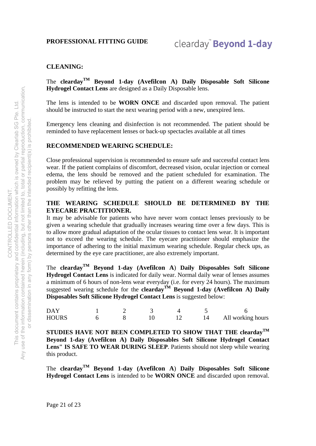#### **CLEANING:**

The **cleardayTM Beyond 1-day (Avefilcon A) Daily Disposable Soft Silicone Hydrogel Contact Lens** are designed as a Daily Disposable lens.

The lens is intended to be **WORN ONCE** and discarded upon removal. The patient should be instructed to start the next wearing period with a new, unexpired lens.

Emergency lens cleaning and disinfection is not recommended. The patient should be reminded to have replacement lenses or back-up spectacles available at all times

#### **RECOMMENDED WEARING SCHEDULE:**

Close professional supervision is recommended to ensure safe and successful contact lens wear. If the patient complains of discomfort, decreased vision, ocular injection or corneal edema, the lens should be removed and the patient scheduled for examination. The problem may be relieved by putting the patient on a different wearing schedule or possibly by refitting the lens.

#### **THE WEARING SCHEDULE SHOULD BE DETERMINED BY THE EYECARE PRACTITIONER.**

It may be advisable for patients who have never worn contact lenses previously to be given a wearing schedule that gradually increases wearing time over a few days. This is to allow more gradual adaptation of the ocular tissues to contact lens wear. It is important not to exceed the wearing schedule. The eyecare practitioner should emphasize the importance of adhering to the initial maximum wearing schedule. Regular check ups, as determined by the eye care practitioner, are also extremely important.

The **cleardayTM Beyond 1-day (Avefilcon A**) **Daily Disposables Soft Silicone Hydrogel Contact Lens** is indicated for daily wear. Normal daily wear of lenses assumes a minimum of 6 hours of non-lens wear everyday (i.e. for every 24 hours). The maximum suggested wearing schedule for the **cleardayTM Beyond 1-day (Avefilcon A) Daily Disposables Soft Silicone Hydrogel Contact Lens** is suggested below:

| DAY          |  |  |                   |
|--------------|--|--|-------------------|
| <b>HOURS</b> |  |  | All working hours |

**STUDIES HAVE NOT BEEN COMPLETED TO SHOW THAT THE cleardayTM Beyond 1-day (Avefilcon A) Daily Disposables Soft Silicone Hydrogel Contact Lens" IS SAFE TO WEAR DURING SLEEP**. Patients should not sleep while wearing this product.

The **cleardayTM Beyond 1-day (Avefilcon A**) **Daily Disposables Soft Silicone Hydrogel Contact Lens** is intended to be **WORN ONCE** and discarded upon removal.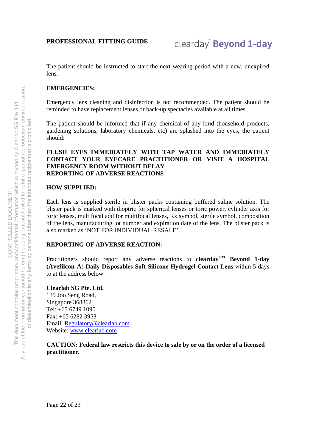The patient should be instructed to start the next wearing period with a new, unexpired lens.

#### **EMERGENCIES:**

Emergency lens cleaning and disinfection is not recommended. The patient should be reminded to have replacement lenses or back-up spectacles available at all times.

The patient should be informed that if any chemical of any kind (household products, gardening solutions, laboratory chemicals, etc) are splashed into the eyes, the patient should:

#### **FLUSH EYES IMMEDIATELY WITH TAP WATER AND IMMEDIATELY CONTACT YOUR EYECARE PRACTITIONER OR VISIT A HOSPITAL EMERGENCY ROOM WITHOUT DELAY REPORTING OF ADVERSE REACTIONS**

#### **HOW SUPPLIED:**

Each lens is supplied sterile in blister packs containing buffered saline solution. The blister pack is marked with dioptric for spherical lenses or toric power, cylinder axis for toric lenses, multifocal add for multifocal lenses, Rx symbol, sterile symbol, composition of the lens, manufacturing lot number and expiration date of the lens. The blister pack is also marked as 'NOT FOR INDIVIDUAL RESALE'.

#### **REPORTING OF ADVERSE REACTION:**

Practitioners should report any adverse reactions to **cleardayTM Beyond 1-day (Avefilcon A**) **Daily Disposables Soft Silicone Hydrogel Contact Lens** within 5 days to at the address below:

**Clearlab SG Pte. Ltd.**  139 Joo Seng Road, Singapore 368362 Tel: +65 6749 1090 Fax: +65 6282 3953 Email: Regulatory@clearlab.com Website: www.clearlab.com

**CAUTION: Federal law restricts this device to sale by or on the order of a licensed practitioner.**